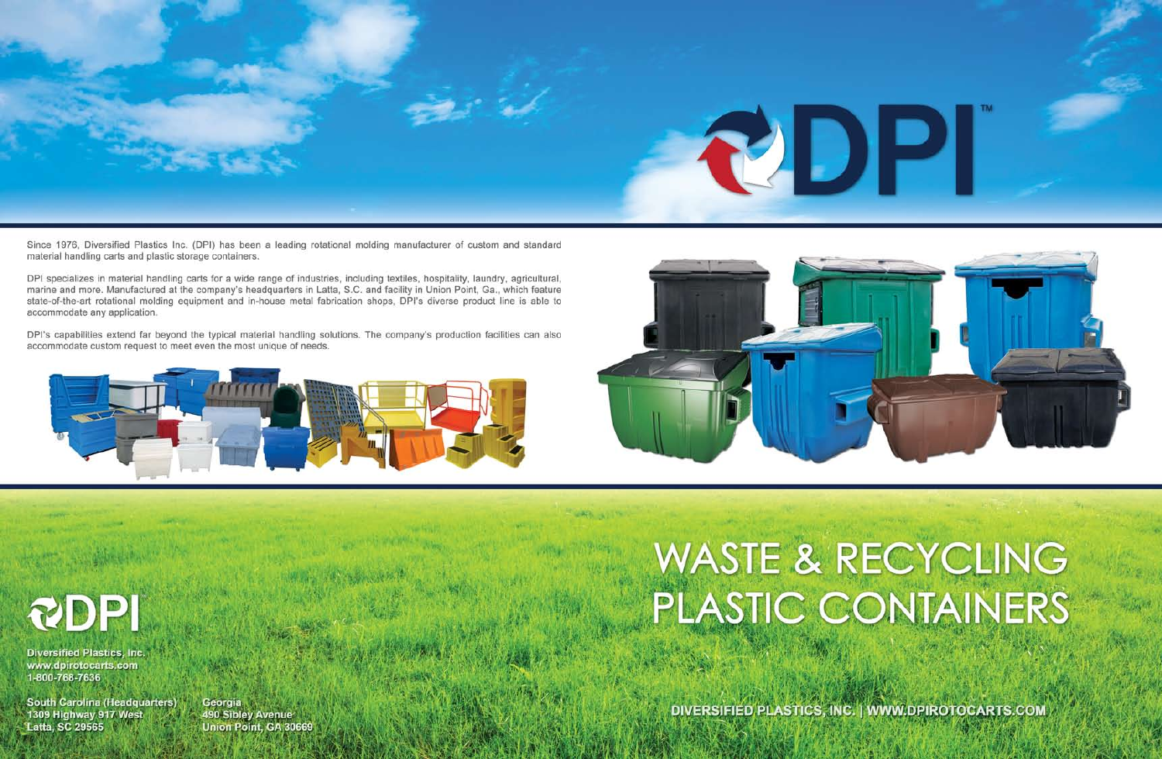

Since 1976, Diversified Plastics Inc. (DPI) has been a leading rotational molding manufacturer of custom and standard material handling carts and plastic storage containers.

DPI specializes in material handling carts for a wide range of industries, including textiles, hospitality, laundry, agricultural, marine and more. Manufactured at the company's headquarters in Latta, S.C. and facility in Union Point, Ga., which feature state-of-the-art rotational molding equipment and in-house metal fabrication shops. DPI's diverse product line is able to accommodate any application.

DPI's capabilities extend far beyond the typical material handling solutions. The company's production facilities can also accommodate custom request to meet even the most unique of needs.





RDPI **Diversified Plastics, Inc.** 

www.dpirotocarts.com 1-800-768-7636

**South Carolina (Headquarters)** 1309 Highway 917 West **Latta, SC 29565** 

Georgia 490 Sibley Avenue Union Point, GA 30669

# **WASTE & RECYCLING** PLASTIC CONTAINERS

DIVERSIFIED PLASTICS, INC. | WWW.DPIROTOCARTS.COM